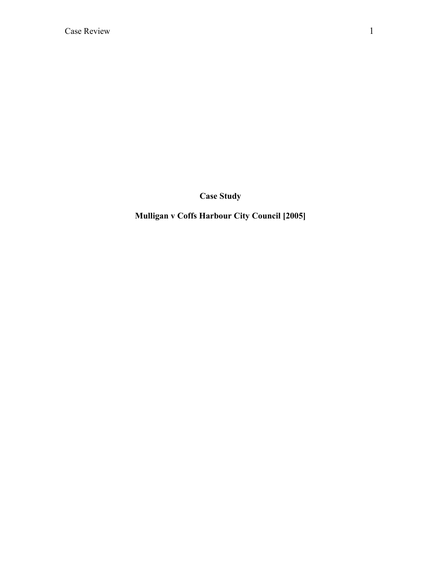**Case Study**

**Mulligan v Coffs Harbour City Council [2005]**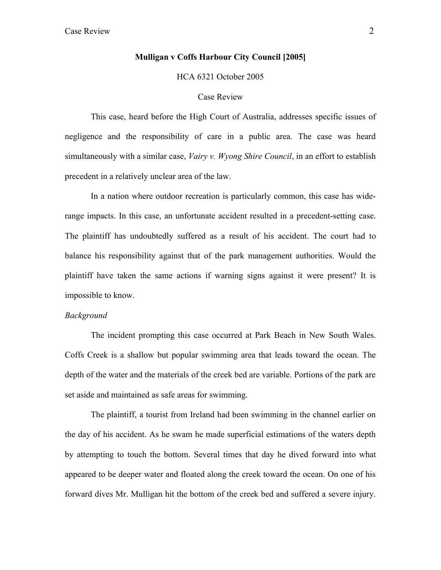## **Mulligan v Coffs Harbour City Council [2005]**

HCA 6321 October 2005

### Case Review

This case, heard before the High Court of Australia, addresses specific issues of negligence and the responsibility of care in a public area. The case was heard simultaneously with a similar case, *Vairy v. Wyong Shire Council*, in an effort to establish precedent in a relatively unclear area of the law.

In a nation where outdoor recreation is particularly common, this case has widerange impacts. In this case, an unfortunate accident resulted in a precedent-setting case. The plaintiff has undoubtedly suffered as a result of his accident. The court had to balance his responsibility against that of the park management authorities. Would the plaintiff have taken the same actions if warning signs against it were present? It is impossible to know.

#### *Background*

The incident prompting this case occurred at Park Beach in New South Wales. Coffs Creek is a shallow but popular swimming area that leads toward the ocean. The depth of the water and the materials of the creek bed are variable. Portions of the park are set aside and maintained as safe areas for swimming.

The plaintiff, a tourist from Ireland had been swimming in the channel earlier on the day of his accident. As he swam he made superficial estimations of the waters depth by attempting to touch the bottom. Several times that day he dived forward into what appeared to be deeper water and floated along the creek toward the ocean. On one of his forward dives Mr. Mulligan hit the bottom of the creek bed and suffered a severe injury.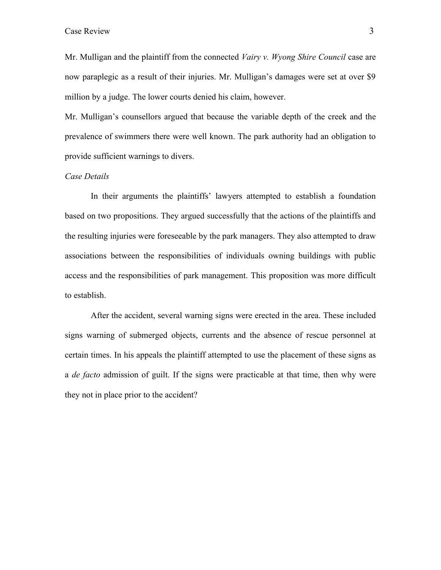Mr. Mulligan and the plaintiff from the connected *Vairy v. Wyong Shire Council* case are now paraplegic as a result of their injuries. Mr. Mulligan's damages were set at over \$9 million by a judge. The lower courts denied his claim, however.

Mr. Mulligan's counsellors argued that because the variable depth of the creek and the prevalence of swimmers there were well known. The park authority had an obligation to provide sufficient warnings to divers.

## *Case Details*

In their arguments the plaintiffs' lawyers attempted to establish a foundation based on two propositions. They argued successfully that the actions of the plaintiffs and the resulting injuries were foreseeable by the park managers. They also attempted to draw associations between the responsibilities of individuals owning buildings with public access and the responsibilities of park management. This proposition was more difficult to establish.

After the accident, several warning signs were erected in the area. These included signs warning of submerged objects, currents and the absence of rescue personnel at certain times. In his appeals the plaintiff attempted to use the placement of these signs as a *de facto* admission of guilt. If the signs were practicable at that time, then why were they not in place prior to the accident?